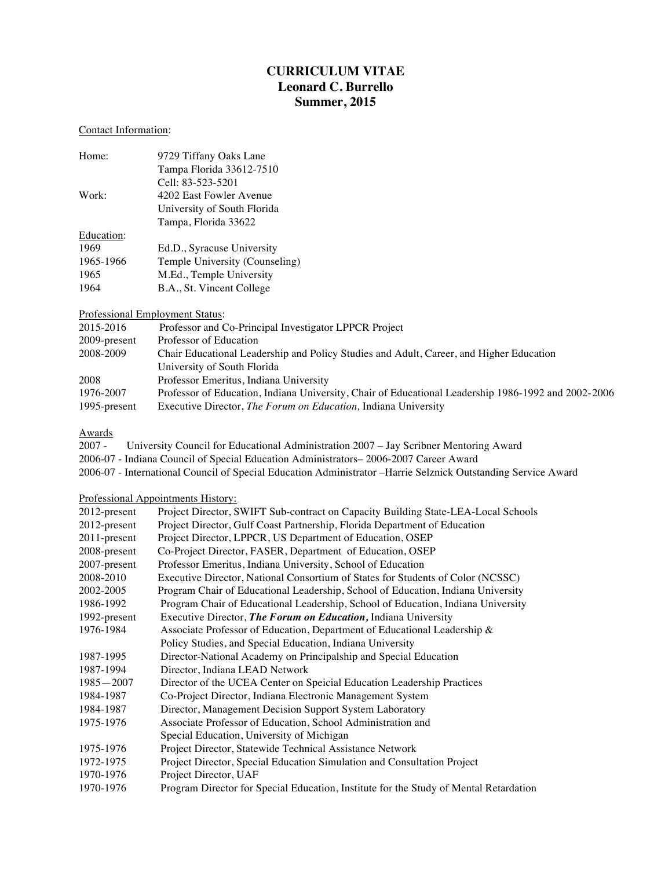# **CURRICULUM VITAE Leonard C. Burrello Summer, 2015**

# Contact Information:

| 9729 Tiffany Oaks Lane         |
|--------------------------------|
| Tampa Florida 33612-7510       |
| Cell: 83-523-5201              |
| 4202 East Fowler Avenue        |
| University of South Florida    |
| Tampa, Florida 33622           |
|                                |
| Ed.D., Syracuse University     |
| Temple University (Counseling) |
| M.Ed., Temple University       |
| B.A., St. Vincent College      |
|                                |

### Professional Employment Status:

| 2015-2016    | Professor and Co-Principal Investigator LPPCR Project                                               |
|--------------|-----------------------------------------------------------------------------------------------------|
| 2009-present | Professor of Education                                                                              |
| 2008-2009    | Chair Educational Leadership and Policy Studies and Adult, Career, and Higher Education             |
|              | University of South Florida                                                                         |
| 2008         | Professor Emeritus, Indiana University                                                              |
| 1976-2007    | Professor of Education, Indiana University, Chair of Educational Leadership 1986-1992 and 2002-2006 |
| 1995-present | Executive Director, <i>The Forum on Education</i> , Indiana University                              |

# Awards

| 2007 - | University Council for Educational Administration 2007 – Jay Scribner Mentoring Award  |
|--------|----------------------------------------------------------------------------------------|
|        | 2006-07 - Indiana Council of Special Education Administrators – 2006-2007 Career Award |

2006-07 - International Council of Special Education Administrator –Harrie Selznick Outstanding Service Award

# Professional Appointments History:

| 2012-present  | Project Director, SWIFT Sub-contract on Capacity Building State-LEA-Local Schools     |
|---------------|---------------------------------------------------------------------------------------|
| 2012-present  | Project Director, Gulf Coast Partnership, Florida Department of Education             |
| 2011-present  | Project Director, LPPCR, US Department of Education, OSEP                             |
| 2008-present  | Co-Project Director, FASER, Department of Education, OSEP                             |
| 2007-present  | Professor Emeritus, Indiana University, School of Education                           |
| 2008-2010     | Executive Director, National Consortium of States for Students of Color (NCSSC)       |
| 2002-2005     | Program Chair of Educational Leadership, School of Education, Indiana University      |
| 1986-1992     | Program Chair of Educational Leadership, School of Education, Indiana University      |
| 1992-present  | Executive Director, The Forum on Education, Indiana University                        |
| 1976-1984     | Associate Professor of Education, Department of Educational Leadership &              |
|               | Policy Studies, and Special Education, Indiana University                             |
| 1987-1995     | Director-National Academy on Principalship and Special Education                      |
| 1987-1994     | Director, Indiana LEAD Network                                                        |
| $1985 - 2007$ | Director of the UCEA Center on Speicial Education Leadership Practices                |
| 1984-1987     | Co-Project Director, Indiana Electronic Management System                             |
| 1984-1987     | Director, Management Decision Support System Laboratory                               |
| 1975-1976     | Associate Professor of Education, School Administration and                           |
|               | Special Education, University of Michigan                                             |
| 1975-1976     | Project Director, Statewide Technical Assistance Network                              |
| 1972-1975     | Project Director, Special Education Simulation and Consultation Project               |
| 1970-1976     | Project Director, UAF                                                                 |
| 1970-1976     | Program Director for Special Education, Institute for the Study of Mental Retardation |
|               |                                                                                       |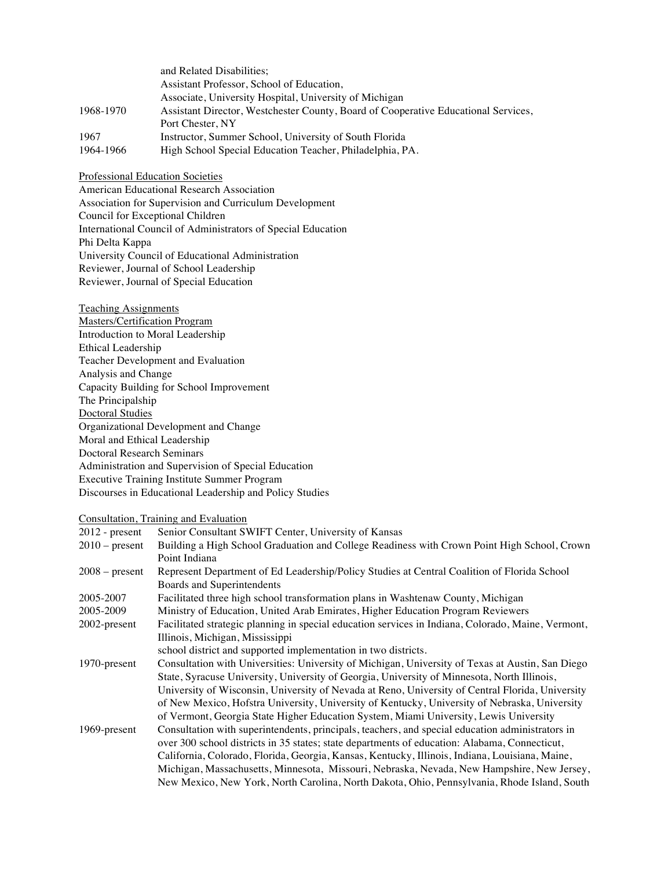|           | and Related Disabilities;                                                          |
|-----------|------------------------------------------------------------------------------------|
|           | Assistant Professor, School of Education,                                          |
|           | Associate, University Hospital, University of Michigan                             |
| 1968-1970 | Assistant Director, Westchester County, Board of Cooperative Educational Services, |
|           | Port Chester, NY                                                                   |
| 1967      | Instructor, Summer School, University of South Florida                             |
| 1964-1966 | High School Special Education Teacher, Philadelphia, PA.                           |

Professional Education Societies

American Educational Research Association Association for Supervision and Curriculum Development Council for Exceptional Children International Council of Administrators of Special Education Phi Delta Kappa University Council of Educational Administration Reviewer, Journal of School Leadership Reviewer, Journal of Special Education

Teaching Assignments Masters/Certification Program Introduction to Moral Leadership Ethical Leadership Teacher Development and Evaluation Analysis and Change Capacity Building for School Improvement The Principalship Doctoral Studies Organizational Development and Change Moral and Ethical Leadership Doctoral Research Seminars Administration and Supervision of Special Education Executive Training Institute Summer Program Discourses in Educational Leadership and Policy Studies

# Consultation, Training and Evaluation

| $2012$ - present | Senior Consultant SWIFT Center, University of Kansas                                               |
|------------------|----------------------------------------------------------------------------------------------------|
| $2010$ – present | Building a High School Graduation and College Readiness with Crown Point High School, Crown        |
|                  | Point Indiana                                                                                      |
| $2008$ – present | Represent Department of Ed Leadership/Policy Studies at Central Coalition of Florida School        |
|                  | Boards and Superintendents                                                                         |
| 2005-2007        | Facilitated three high school transformation plans in Washtenaw County, Michigan                   |
| 2005-2009        | Ministry of Education, United Arab Emirates, Higher Education Program Reviewers                    |
| 2002-present     | Facilitated strategic planning in special education services in Indiana, Colorado, Maine, Vermont, |
|                  | Illinois, Michigan, Mississippi                                                                    |
|                  | school district and supported implementation in two districts.                                     |
| 1970-present     | Consultation with Universities: University of Michigan, University of Texas at Austin, San Diego   |
|                  | State, Syracuse University, University of Georgia, University of Minnesota, North Illinois,        |
|                  | University of Wisconsin, University of Nevada at Reno, University of Central Florida, University   |
|                  | of New Mexico, Hofstra University, University of Kentucky, University of Nebraska, University      |
|                  | of Vermont, Georgia State Higher Education System, Miami University, Lewis University              |
| 1969-present     | Consultation with superintendents, principals, teachers, and special education administrators in   |
|                  | over 300 school districts in 35 states; state departments of education: Alabama, Connecticut,      |
|                  | California, Colorado, Florida, Georgia, Kansas, Kentucky, Illinois, Indiana, Louisiana, Maine,     |
|                  | Michigan, Massachusetts, Minnesota, Missouri, Nebraska, Nevada, New Hampshire, New Jersey,         |
|                  | New Mexico, New York, North Carolina, North Dakota, Ohio, Pennsylvania, Rhode Island, South        |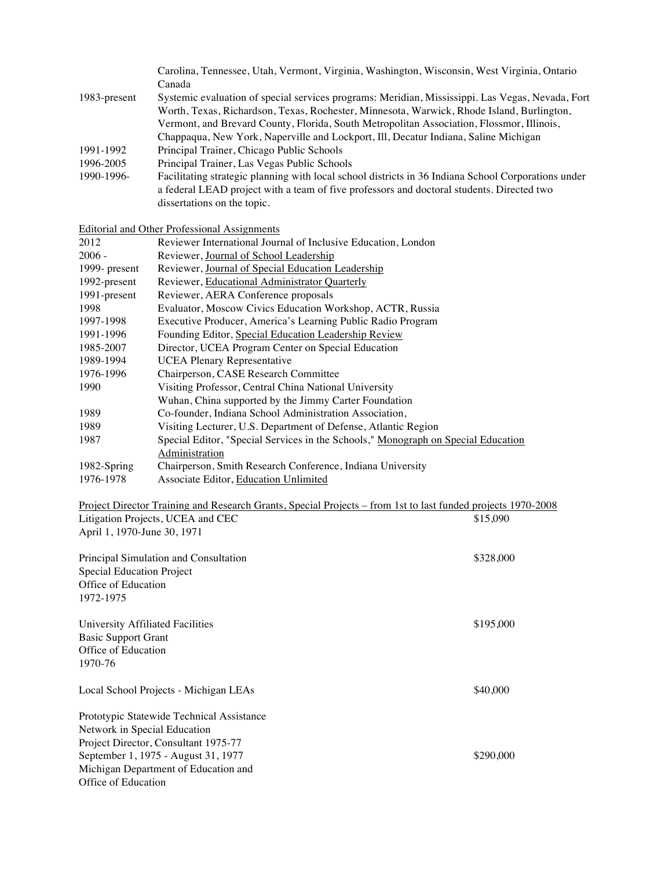|              | Carolina, Tennessee, Utah, Vermont, Virginia, Washington, Wisconsin, West Virginia, Ontario         |
|--------------|-----------------------------------------------------------------------------------------------------|
|              | Canada                                                                                              |
| 1983-present | Systemic evaluation of special services programs: Meridian, Mississippi. Las Vegas, Nevada, Fort    |
|              | Worth, Texas, Richardson, Texas, Rochester, Minnesota, Warwick, Rhode Island, Burlington,           |
|              | Vermont, and Brevard County, Florida, South Metropolitan Association, Flossmor, Illinois,           |
|              | Chappaqua, New York, Naperville and Lockport, Ill, Decatur Indiana, Saline Michigan                 |
| 1991-1992    | Principal Trainer, Chicago Public Schools                                                           |
| 1996-2005    | Principal Trainer, Las Vegas Public Schools                                                         |
| 1990-1996-   | Facilitating strategic planning with local school districts in 36 Indiana School Corporations under |
|              | a federal LEAD project with a team of five professors and doctoral students. Directed two           |
|              | dissertations on the topic.                                                                         |
|              |                                                                                                     |

Editorial and Other Professional Assignments

| 2012          | Reviewer International Journal of Inclusive Education, London                     |
|---------------|-----------------------------------------------------------------------------------|
| $2006 -$      | Reviewer, Journal of School Leadership                                            |
| 1999- present | Reviewer, Journal of Special Education Leadership                                 |
| 1992-present  | Reviewer, Educational Administrator Quarterly                                     |
| 1991-present  | Reviewer, AERA Conference proposals                                               |
| 1998          | Evaluator, Moscow Civics Education Workshop, ACTR, Russia                         |
| 1997-1998     | Executive Producer, America's Learning Public Radio Program                       |
| 1991-1996     | Founding Editor, Special Education Leadership Review                              |
| 1985-2007     | Director, UCEA Program Center on Special Education                                |
| 1989-1994     | <b>UCEA Plenary Representative</b>                                                |
| 1976-1996     | Chairperson, CASE Research Committee                                              |
| 1990          | Visiting Professor, Central China National University                             |
|               | Wuhan, China supported by the Jimmy Carter Foundation                             |
| 1989          | Co-founder, Indiana School Administration Association,                            |
| 1989          | Visiting Lecturer, U.S. Department of Defense, Atlantic Region                    |
| 1987          | Special Editor, "Special Services in the Schools," Monograph on Special Education |
|               | Administration                                                                    |
| 1982-Spring   | Chairperson, Smith Research Conference, Indiana University                        |
| 1976-1978     | Associate Editor, Education Unlimited                                             |

| Project Director Training and Research Grants, Special Projects – from 1st to last funded projects 1970-2008<br>Litigation Projects, UCEA and CEC<br>April 1, 1970-June 30, 1971 | \$15,090  |
|----------------------------------------------------------------------------------------------------------------------------------------------------------------------------------|-----------|
| Principal Simulation and Consultation<br><b>Special Education Project</b><br>Office of Education<br>1972-1975                                                                    | \$328,000 |
| University Affiliated Facilities<br><b>Basic Support Grant</b><br>Office of Education<br>1970-76                                                                                 | \$195,000 |
| Local School Projects - Michigan LEAs                                                                                                                                            | \$40,000  |
| Prototypic Statewide Technical Assistance                                                                                                                                        |           |
| Network in Special Education                                                                                                                                                     |           |
| Project Director, Consultant 1975-77                                                                                                                                             |           |
| September 1, 1975 - August 31, 1977                                                                                                                                              | \$290,000 |
| Michigan Department of Education and                                                                                                                                             |           |
| Office of Education                                                                                                                                                              |           |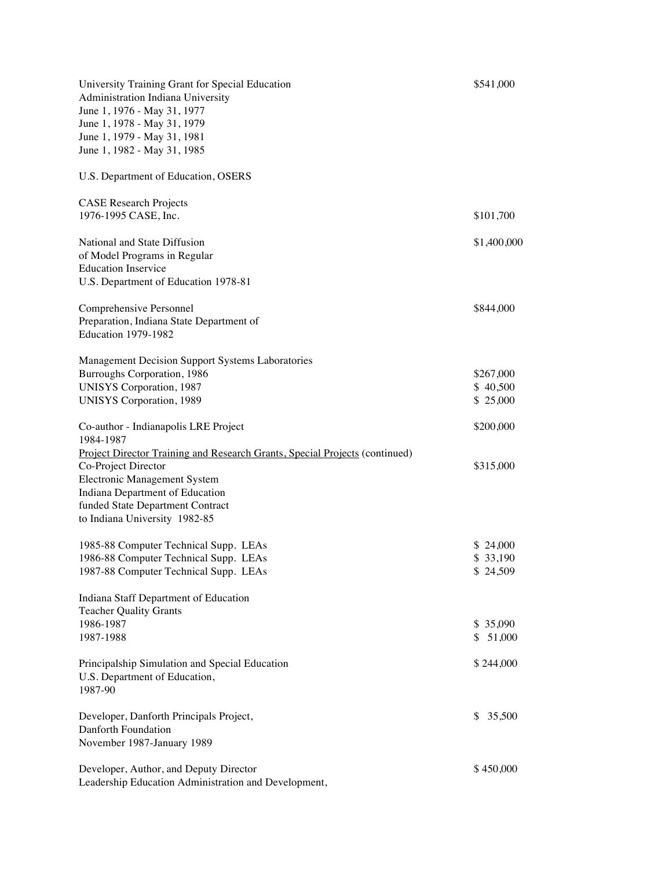| University Training Grant for Special Education<br>Administration Indiana University<br>June 1, 1976 - May 31, 1977<br>June 1, 1978 - May 31, 1979<br>June 1, 1979 - May 31, 1981<br>June 1, 1982 - May 31, 1985                           | \$541,000                         |
|--------------------------------------------------------------------------------------------------------------------------------------------------------------------------------------------------------------------------------------------|-----------------------------------|
| U.S. Department of Education, OSERS                                                                                                                                                                                                        |                                   |
| <b>CASE Research Projects</b><br>1976-1995 CASE, Inc.                                                                                                                                                                                      | \$101,700                         |
| National and State Diffusion<br>of Model Programs in Regular<br><b>Education Inservice</b><br>U.S. Department of Education 1978-81                                                                                                         | \$1,400,000                       |
| Comprehensive Personnel<br>Preparation, Indiana State Department of<br>Education 1979-1982                                                                                                                                                 | \$844,000                         |
| Management Decision Support Systems Laboratories<br>Burroughs Corporation, 1986<br><b>UNISYS Corporation</b> , 1987<br><b>UNISYS Corporation</b> , 1989                                                                                    | \$267,000<br>\$40,500<br>\$25,000 |
| Co-author - Indianapolis LRE Project<br>1984-1987                                                                                                                                                                                          | \$200,000                         |
| Project Director Training and Research Grants, Special Projects (continued)<br>Co-Project Director<br>Electronic Management System<br>Indiana Department of Education<br>funded State Department Contract<br>to Indiana University 1982-85 | \$315,000                         |
| 1985-88 Computer Technical Supp. LEAs<br>1986-88 Computer Technical Supp. LEAs<br>1987-88 Computer Technical Supp. LEAs                                                                                                                    | \$24,000<br>\$33,190<br>\$24,509  |
| Indiana Staff Department of Education<br><b>Teacher Quality Grants</b><br>1986-1987<br>1987-1988                                                                                                                                           | \$35,090<br>\$51,000              |
| Principalship Simulation and Special Education<br>U.S. Department of Education,<br>1987-90                                                                                                                                                 | \$244,000                         |
| Developer, Danforth Principals Project,<br>Danforth Foundation<br>November 1987-January 1989                                                                                                                                               | \$35,500                          |
| Developer, Author, and Deputy Director<br>Leadership Education Administration and Development,                                                                                                                                             | \$450,000                         |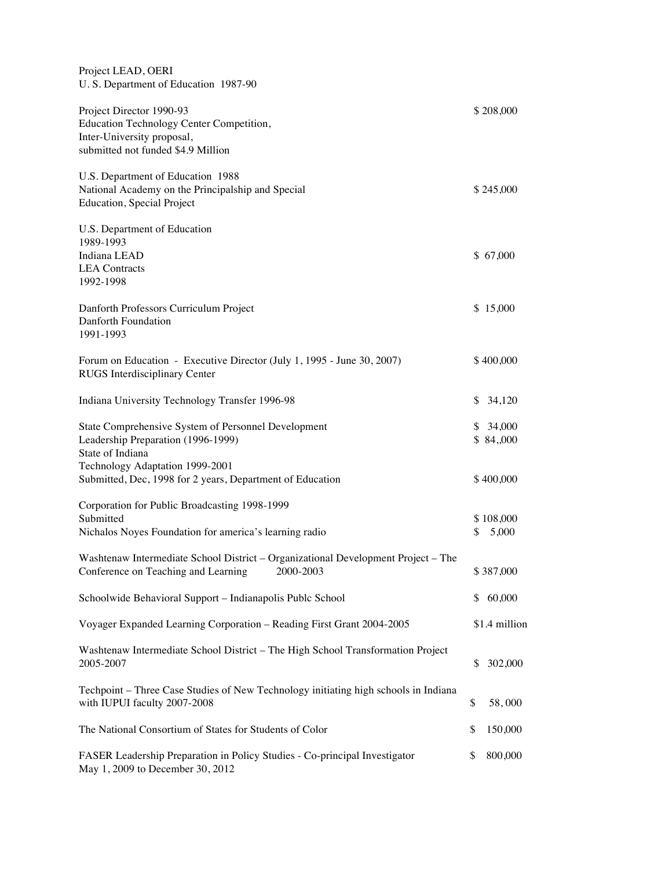| Project LEAD, OERI<br>U.S. Department of Education 1987-90                                                                                                                                                    |    |                                   |
|---------------------------------------------------------------------------------------------------------------------------------------------------------------------------------------------------------------|----|-----------------------------------|
| Project Director 1990-93<br>Education Technology Center Competition,<br>Inter-University proposal,<br>submitted not funded \$4.9 Million                                                                      |    | \$208,000                         |
| U.S. Department of Education 1988<br>National Academy on the Principalship and Special<br><b>Education, Special Project</b>                                                                                   |    | \$245,000                         |
| U.S. Department of Education<br>1989-1993<br>Indiana LEAD<br><b>LEA</b> Contracts<br>1992-1998                                                                                                                |    | \$67,000                          |
| Danforth Professors Curriculum Project<br>Danforth Foundation<br>1991-1993                                                                                                                                    |    | \$15,000                          |
| Forum on Education - Executive Director (July 1, 1995 - June 30, 2007)<br><b>RUGS</b> Interdisciplinary Center                                                                                                |    | \$400,000                         |
| Indiana University Technology Transfer 1996-98                                                                                                                                                                | \$ | 34,120                            |
| State Comprehensive System of Personnel Development<br>Leadership Preparation (1996-1999)<br>State of Indiana<br>Technology Adaptation 1999-2001<br>Submitted, Dec, 1998 for 2 years, Department of Education |    | \$34,000<br>\$84,000<br>\$400,000 |
| Corporation for Public Broadcasting 1998-1999<br>Submitted<br>Nichalos Noyes Foundation for america's learning radio                                                                                          | \$ | \$108,000<br>5,000                |
| Washtenaw Intermediate School District – Organizational Development Project – The<br>2000-2003<br>Conference on Teaching and Learning                                                                         |    | \$387,000                         |
| Schoolwide Behavioral Support - Indianapolis Publc School                                                                                                                                                     | S. | 60,000                            |
| Voyager Expanded Learning Corporation - Reading First Grant 2004-2005                                                                                                                                         |    | \$1.4 million                     |
| Washtenaw Intermediate School District - The High School Transformation Project<br>2005-2007                                                                                                                  | \$ | 302,000                           |
| Techpoint – Three Case Studies of New Technology initiating high schools in Indiana<br>with IUPUI faculty 2007-2008                                                                                           | \$ | 58,000                            |
| The National Consortium of States for Students of Color                                                                                                                                                       | \$ | 150,000                           |
| FASER Leadership Preparation in Policy Studies - Co-principal Investigator<br>May 1, 2009 to December 30, 2012                                                                                                | \$ | 800,000                           |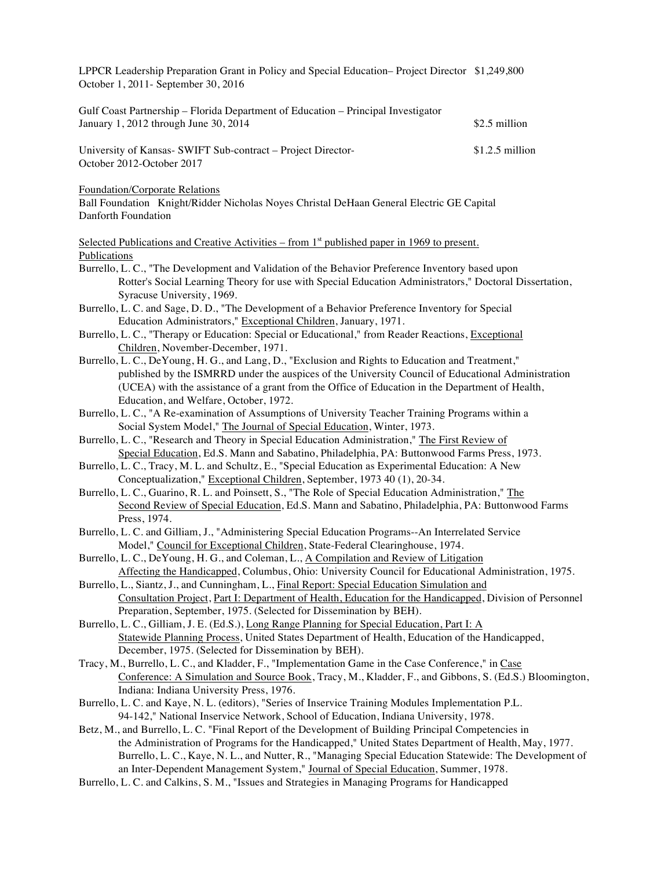LPPCR Leadership Preparation Grant in Policy and Special Education– Project Director \$1,249,800 October 1, 2011- September 30, 2016

| Gulf Coast Partnership – Florida Department of Education – Principal Investigator |                 |
|-----------------------------------------------------------------------------------|-----------------|
| January 1, 2012 through June $30, 2014$                                           | \$2.5 million   |
| University of Kansas- SWIFT Sub-contract – Project Director-                      | \$1.2.5 million |
| October 2012-October 2017                                                         |                 |

Foundation/Corporate Relations

Ball Foundation Knight/Ridder Nicholas Noyes Christal DeHaan General Electric GE Capital Danforth Foundation

Selected Publications and Creative Activities – from 1<sup>st</sup> published paper in 1969 to present. Publications

- Burrello, L. C., "The Development and Validation of the Behavior Preference Inventory based upon Rotter's Social Learning Theory for use with Special Education Administrators," Doctoral Dissertation, Syracuse University, 1969.
- Burrello, L. C. and Sage, D. D., "The Development of a Behavior Preference Inventory for Special Education Administrators," Exceptional Children, January, 1971.
- Burrello, L. C., "Therapy or Education: Special or Educational," from Reader Reactions, Exceptional Children, November-December, 1971.
- Burrello, L. C., DeYoung, H. G., and Lang, D., "Exclusion and Rights to Education and Treatment," published by the ISMRRD under the auspices of the University Council of Educational Administration (UCEA) with the assistance of a grant from the Office of Education in the Department of Health, Education, and Welfare, October, 1972.
- Burrello, L. C., "A Re-examination of Assumptions of University Teacher Training Programs within a Social System Model," The Journal of Special Education, Winter, 1973.
- Burrello, L. C., "Research and Theory in Special Education Administration," The First Review of Special Education, Ed.S. Mann and Sabatino, Philadelphia, PA: Buttonwood Farms Press, 1973.
- Burrello, L. C., Tracy, M. L. and Schultz, E., "Special Education as Experimental Education: A New Conceptualization," Exceptional Children, September, 1973 40 (1), 20-34.
- Burrello, L. C., Guarino, R. L. and Poinsett, S., "The Role of Special Education Administration," The Second Review of Special Education, Ed.S. Mann and Sabatino, Philadelphia, PA: Buttonwood Farms Press, 1974.
- Burrello, L. C. and Gilliam, J., "Administering Special Education Programs--An Interrelated Service Model," Council for Exceptional Children, State-Federal Clearinghouse, 1974.
- Burrello, L. C., DeYoung, H. G., and Coleman, L., A Compilation and Review of Litigation Affecting the Handicapped, Columbus, Ohio: University Council for Educational Administration, 1975.
- Burrello, L., Siantz, J., and Cunningham, L., Final Report: Special Education Simulation and Consultation Project, Part I: Department of Health, Education for the Handicapped, Division of Personnel Preparation, September, 1975. (Selected for Dissemination by BEH).
- Burrello, L. C., Gilliam, J. E. (Ed.S.), Long Range Planning for Special Education, Part I: A Statewide Planning Process, United States Department of Health, Education of the Handicapped, December, 1975. (Selected for Dissemination by BEH).
- Tracy, M., Burrello, L. C., and Kladder, F., "Implementation Game in the Case Conference," in Case Conference: A Simulation and Source Book, Tracy, M., Kladder, F., and Gibbons, S. (Ed.S.) Bloomington, Indiana: Indiana University Press, 1976.
- Burrello, L. C. and Kaye, N. L. (editors), "Series of Inservice Training Modules Implementation P.L. 94-142," National Inservice Network, School of Education, Indiana University, 1978.
- Betz, M., and Burrello, L. C. "Final Report of the Development of Building Principal Competencies in the Administration of Programs for the Handicapped," United States Department of Health, May, 1977. Burrello, L. C., Kaye, N. L., and Nutter, R., "Managing Special Education Statewide: The Development of an Inter-Dependent Management System," Journal of Special Education, Summer, 1978.
- Burrello, L. C. and Calkins, S. M., "Issues and Strategies in Managing Programs for Handicapped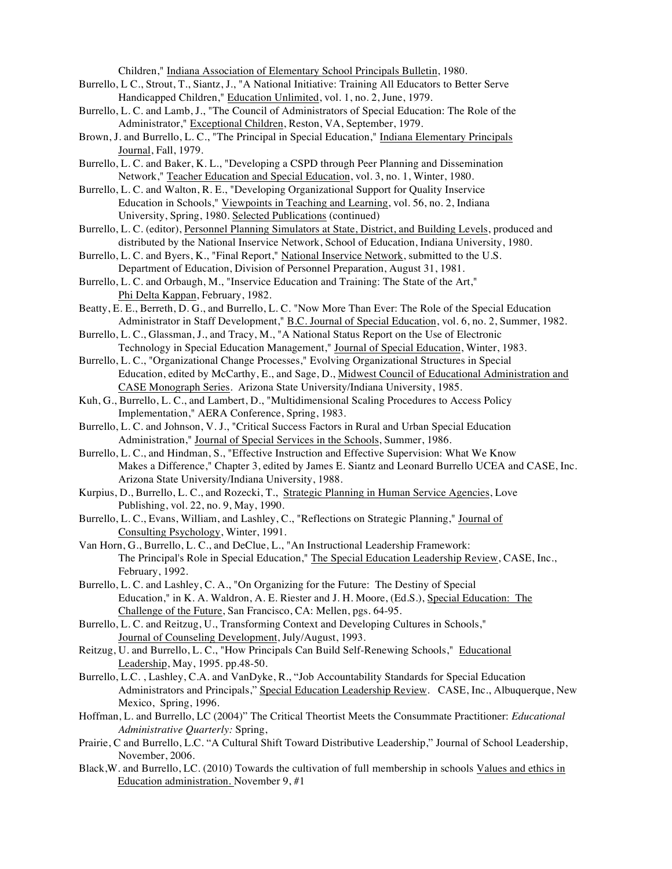Children," Indiana Association of Elementary School Principals Bulletin, 1980.

- Burrello, L C., Strout, T., Siantz, J., "A National Initiative: Training All Educators to Better Serve Handicapped Children," Education Unlimited, vol. 1, no. 2, June, 1979.
- Burrello, L. C. and Lamb, J., "The Council of Administrators of Special Education: The Role of the Administrator," Exceptional Children, Reston, VA, September, 1979.
- Brown, J. and Burrello, L. C., "The Principal in Special Education," Indiana Elementary Principals Journal, Fall, 1979.
- Burrello, L. C. and Baker, K. L., "Developing a CSPD through Peer Planning and Dissemination Network," Teacher Education and Special Education, vol. 3, no. 1, Winter, 1980.
- Burrello, L. C. and Walton, R. E., "Developing Organizational Support for Quality Inservice Education in Schools," Viewpoints in Teaching and Learning, vol. 56, no. 2, Indiana University, Spring, 1980. Selected Publications (continued)
- Burrello, L. C. (editor), Personnel Planning Simulators at State, District, and Building Levels, produced and distributed by the National Inservice Network, School of Education, Indiana University, 1980.
- Burrello, L. C. and Byers, K., "Final Report," National Inservice Network, submitted to the U.S. Department of Education, Division of Personnel Preparation, August 31, 1981.
- Burrello, L. C. and Orbaugh, M., "Inservice Education and Training: The State of the Art," Phi Delta Kappan, February, 1982.
- Beatty, E. E., Berreth, D. G., and Burrello, L. C. "Now More Than Ever: The Role of the Special Education Administrator in Staff Development," B.C. Journal of Special Education, vol. 6, no. 2, Summer, 1982.
- Burrello, L. C., Glassman, J., and Tracy, M., "A National Status Report on the Use of Electronic Technology in Special Education Management," Journal of Special Education, Winter, 1983.
- Burrello, L. C., "Organizational Change Processes," Evolving Organizational Structures in Special Education, edited by McCarthy, E., and Sage, D., Midwest Council of Educational Administration and CASE Monograph Series. Arizona State University/Indiana University, 1985.
- Kuh, G., Burrello, L. C., and Lambert, D., "Multidimensional Scaling Procedures to Access Policy Implementation," AERA Conference, Spring, 1983.
- Burrello, L. C. and Johnson, V. J., "Critical Success Factors in Rural and Urban Special Education Administration," Journal of Special Services in the Schools, Summer, 1986.
- Burrello, L. C., and Hindman, S., "Effective Instruction and Effective Supervision: What We Know Makes a Difference," Chapter 3, edited by James E. Siantz and Leonard Burrello UCEA and CASE, Inc. Arizona State University/Indiana University, 1988.
- Kurpius, D., Burrello, L. C., and Rozecki, T., Strategic Planning in Human Service Agencies, Love Publishing, vol. 22, no. 9, May, 1990.
- Burrello, L. C., Evans, William, and Lashley, C., "Reflections on Strategic Planning," Journal of Consulting Psychology, Winter, 1991.
- Van Horn, G., Burrello, L. C., and DeClue, L., "An Instructional Leadership Framework: The Principal's Role in Special Education," The Special Education Leadership Review, CASE, Inc., February, 1992.
- Burrello, L. C. and Lashley, C. A., "On Organizing for the Future: The Destiny of Special Education," in K. A. Waldron, A. E. Riester and J. H. Moore, (Ed.S.), Special Education: The Challenge of the Future, San Francisco, CA: Mellen, pgs. 64-95.
- Burrello, L. C. and Reitzug, U., Transforming Context and Developing Cultures in Schools," Journal of Counseling Development, July/August, 1993.
- Reitzug, U. and Burrello, L. C., "How Principals Can Build Self-Renewing Schools," Educational Leadership, May, 1995. pp.48-50.
- Burrello, L.C. , Lashley, C.A. and VanDyke, R., "Job Accountability Standards for Special Education Administrators and Principals," Special Education Leadership Review. CASE, Inc., Albuquerque, New Mexico, Spring, 1996.
- Hoffman, L. and Burrello, LC (2004)" The Critical Theortist Meets the Consummate Practitioner: *Educational Administrative Quarterly:* Spring,
- Prairie, C and Burrello, L.C. "A Cultural Shift Toward Distributive Leadership," Journal of School Leadership, November, 2006.
- Black,W. and Burrello, LC. (2010) Towards the cultivation of full membership in schools Values and ethics in Education administration. November 9, #1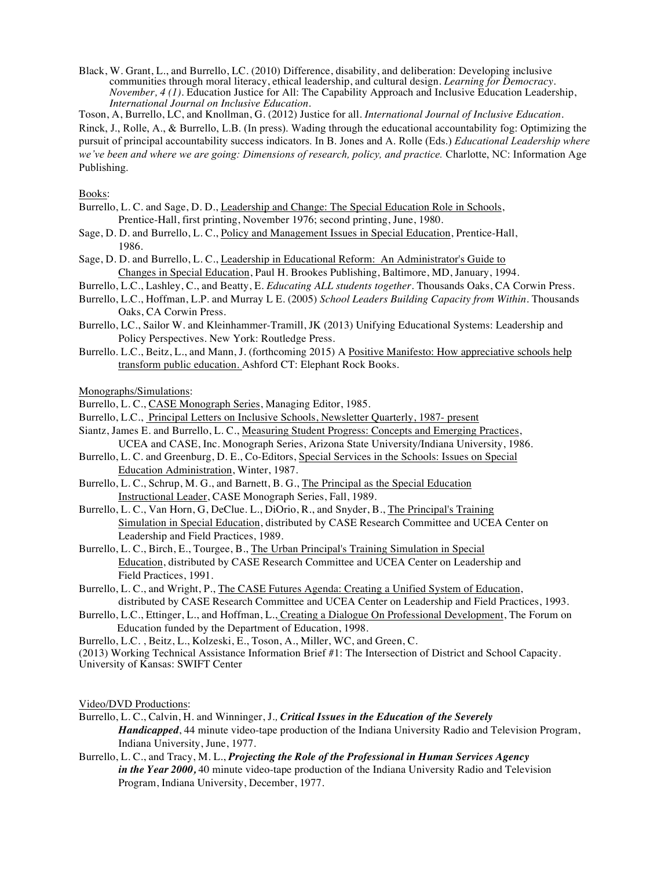Black, W. Grant, L., and Burrello, LC. (2010) Difference, disability, and deliberation: Developing inclusive communities through moral literacy, ethical leadership, and cultural design. *Learning for Democracy. November, 4 (1).* Education Justice for All: The Capability Approach and Inclusive Education Leadership, *International Journal on Inclusive Education.*

Toson, A, Burrello, LC, and Knollman, G. (2012) Justice for all. *International Journal of Inclusive Education.*

Rinck, J., Rolle, A., & Burrello, L.B. (In press). Wading through the educational accountability fog: Optimizing the pursuit of principal accountability success indicators. In B. Jones and A. Rolle (Eds.) *Educational Leadership where we've been and where we are going: Dimensions of research, policy, and practice.* Charlotte, NC: Information Age Publishing.

#### Books:

- Burrello, L. C. and Sage, D. D., Leadership and Change: The Special Education Role in Schools, Prentice-Hall, first printing, November 1976; second printing, June, 1980.
- Sage, D. D. and Burrello, L. C., Policy and Management Issues in Special Education, Prentice-Hall, 1986.
- Sage, D. D. and Burrello, L. C., Leadership in Educational Reform: An Administrator's Guide to Changes in Special Education, Paul H. Brookes Publishing, Baltimore, MD, January, 1994.
- Burrello, L.C., Lashley, C., and Beatty, E. *Educating ALL students together.* Thousands Oaks, CA Corwin Press.
- Burrello, L.C., Hoffman, L.P. and Murray L E. (2005) *School Leaders Building Capacity from Within.* Thousands Oaks, CA Corwin Press.
- Burrello, LC., Sailor W. and Kleinhammer-Tramill, JK (2013) Unifying Educational Systems: Leadership and Policy Perspectives. New York: Routledge Press.
- Burrello. L.C., Beitz, L., and Mann, J. (forthcoming 2015) A Positive Manifesto: How appreciative schools help transform public education. Ashford CT: Elephant Rock Books.

Monographs/Simulations:

- Burrello, L. C., CASE Monograph Series, Managing Editor, 1985.
- Burrello, L.C., Principal Letters on Inclusive Schools, Newsletter Quarterly, 1987- present
- Siantz, James E. and Burrello, L. C., Measuring Student Progress: Concepts and Emerging Practices, UCEA and CASE, Inc. Monograph Series, Arizona State University/Indiana University, 1986.
- Burrello, L. C. and Greenburg, D. E., Co-Editors, Special Services in the Schools: Issues on Special Education Administration, Winter, 1987.
- Burrello, L. C., Schrup, M. G., and Barnett, B. G., The Principal as the Special Education Instructional Leader, CASE Monograph Series, Fall, 1989.
- Burrello, L. C., Van Horn, G, DeClue. L., DiOrio, R., and Snyder, B., The Principal's Training Simulation in Special Education, distributed by CASE Research Committee and UCEA Center on Leadership and Field Practices, 1989.
- Burrello, L. C., Birch, E., Tourgee, B., The Urban Principal's Training Simulation in Special Education, distributed by CASE Research Committee and UCEA Center on Leadership and Field Practices, 1991.
- Burrello, L. C., and Wright, P., The CASE Futures Agenda: Creating a Unified System of Education, distributed by CASE Research Committee and UCEA Center on Leadership and Field Practices, 1993.
- Burrello, L.C., Ettinger, L., and Hoffman, L., Creating a Dialogue On Professional Development, The Forum on Education funded by the Department of Education, 1998.
- Burrello, L.C. , Beitz, L., Kolzeski, E., Toson, A., Miller, WC, and Green, C.

(2013) Working Technical Assistance Information Brief #1: The Intersection of District and School Capacity.

University of Kansas: SWIFT Center

Video/DVD Productions:

- Burrello, L. C., Calvin, H. and Winninger, J*., Critical Issues in the Education of the Severely Handicapped*, 44 minute video-tape production of the Indiana University Radio and Television Program, Indiana University, June, 1977.
- Burrello, L. C., and Tracy, M. L., *Projecting the Role of the Professional in Human Services Agency in the Year 2000,* 40 minute video-tape production of the Indiana University Radio and Television Program, Indiana University, December, 1977.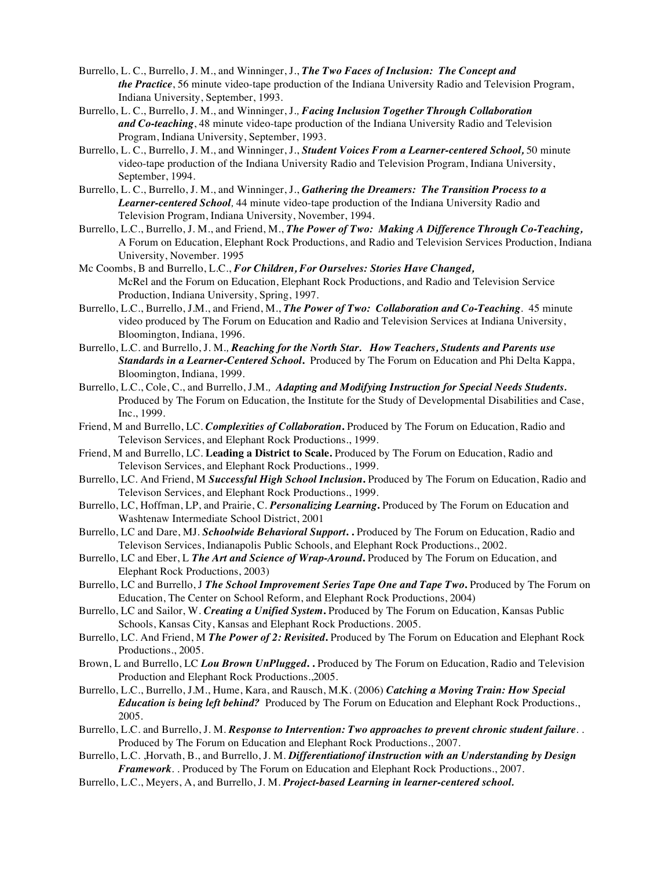- Burrello, L. C., Burrello, J. M., and Winninger, J., *The Two Faces of Inclusion: The Concept and the Practice*, 56 minute video-tape production of the Indiana University Radio and Television Program, Indiana University, September, 1993.
- Burrello, L. C., Burrello, J. M., and Winninger, J*., Facing Inclusion Together Through Collaboration and Co-teaching*, 48 minute video-tape production of the Indiana University Radio and Television Program, Indiana University, September, 1993.
- Burrello, L. C., Burrello, J. M., and Winninger, J., *Student Voices From a Learner-centered School,* 50 minute video-tape production of the Indiana University Radio and Television Program, Indiana University, September, 1994.
- Burrello, L. C., Burrello, J. M., and Winninger, J., *Gathering the Dreamers: The Transition Process to a Learner-centered School,* 44 minute video-tape production of the Indiana University Radio and Television Program, Indiana University, November, 1994.
- Burrello, L.C., Burrello, J. M., and Friend, M., *The Power of Two: Making A Difference Through Co-Teaching,* A Forum on Education, Elephant Rock Productions, and Radio and Television Services Production, Indiana University, November. 1995
- Mc Coombs, B and Burrello, L.C., *For Children, For Ourselves: Stories Have Changed,* McRel and the Forum on Education, Elephant Rock Productions, and Radio and Television Service Production, Indiana University, Spring, 1997.
- Burrello, L.C., Burrello, J.M., and Friend, M., *The Power of Two: Collaboration and Co-Teaching*. 45 minute video produced by The Forum on Education and Radio and Television Services at Indiana University, Bloomington, Indiana, 1996.
- Burrello, L.C. and Burrello, J. M*., Reaching for the North Star. How Teachers, Students and Parents use Standards in a Learner-Centered School***.** Produced by The Forum on Education and Phi Delta Kappa, Bloomington, Indiana, 1999.
- Burrello, L.C., Cole, C., and Burrello, J.M*., Adapting and Modifying Instruction for Special Needs Students.* Produced by The Forum on Education, the Institute for the Study of Developmental Disabilities and Case, Inc., 1999.
- Friend, M and Burrello, LC. *Complexities of Collaboration***.** Produced by The Forum on Education, Radio and Televison Services, and Elephant Rock Productions., 1999.
- Friend, M and Burrello, LC. **Leading a District to Scale.** Produced by The Forum on Education, Radio and Televison Services, and Elephant Rock Productions., 1999.
- Burrello, LC. And Friend, M *Successful High School Inclusion***.** Produced by The Forum on Education, Radio and Televison Services, and Elephant Rock Productions., 1999.
- Burrello, LC, Hoffman, LP, and Prairie, C. *Personalizing Learning***.** Produced by The Forum on Education and Washtenaw Intermediate School District, 2001
- Burrello, LC and Dare, MJ. *Schoolwide Behavioral Support***. .** Produced by The Forum on Education, Radio and Televison Services, Indianapolis Public Schools, and Elephant Rock Productions., 2002.
- Burrello, LC and Eber, L *The Art and Science of Wrap-Around***.** Produced by The Forum on Education, and Elephant Rock Productions, 2003)
- Burrello, LC and Burrello, J *The School Improvement Series Tape One and Tape Two***.** Produced by The Forum on Education, The Center on School Reform, and Elephant Rock Productions, 2004)
- Burrello, LC and Sailor, W. *Creating a Unified System***.** Produced by The Forum on Education, Kansas Public Schools, Kansas City, Kansas and Elephant Rock Productions. 2005.
- Burrello, LC. And Friend, M *The Power of 2: Revisited***.** Produced by The Forum on Education and Elephant Rock Productions., 2005.
- Brown, L and Burrello, LC *Lou Brown UnPlugged***. .** Produced by The Forum on Education, Radio and Television Production and Elephant Rock Productions.,2005.
- Burrello, L.C., Burrello, J.M., Hume, Kara, and Rausch, M.K. (2006) *Catching a Moving Train: How Special Education is being left behind?* Produced by The Forum on Education and Elephant Rock Productions., 2005.
- Burrello, L.C. and Burrello, J. M. *Response to Intervention: Two approaches to prevent chronic student failure*. . Produced by The Forum on Education and Elephant Rock Productions., 2007.
- Burrello, L.C. ,Horvath, B., and Burrello, J. M. *Differentiationof iInstruction with an Understanding by Design Framework*. . Produced by The Forum on Education and Elephant Rock Productions., 2007.
- Burrello, L.C., Meyers, A, and Burrello, J. M. *Project-based Learning in learner-centered school.*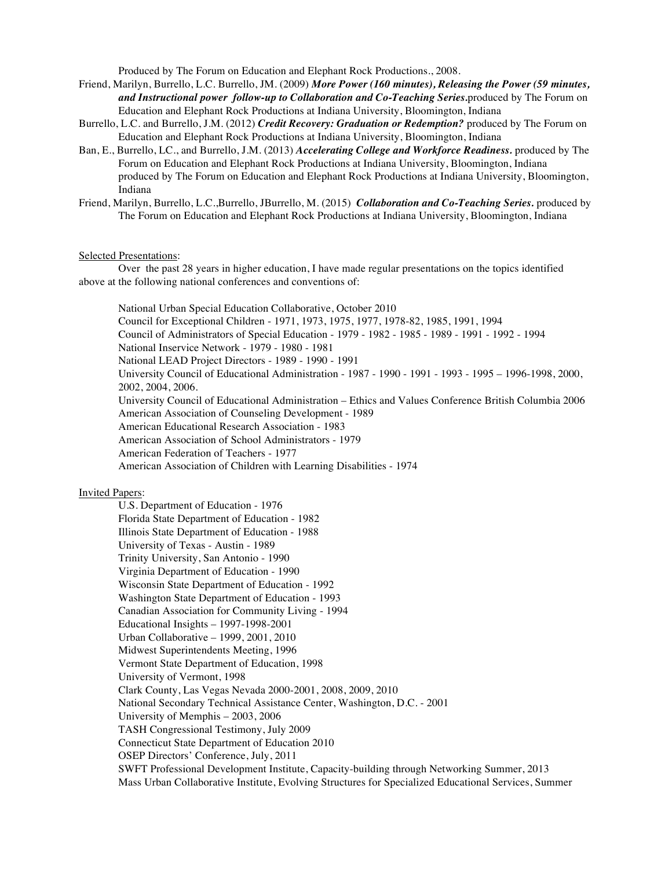Produced by The Forum on Education and Elephant Rock Productions., 2008.

- Friend, Marilyn, Burrello, L.C. Burrello, JM. (2009) *More Power (160 minutes), Releasing the Power (59 minutes, and Instructional power follow-up to Collaboration and Co-Teaching Series.*produced by The Forum on Education and Elephant Rock Productions at Indiana University, Bloomington, Indiana
- Burrello, L.C. and Burrello, J.M. (2012) *Credit Recovery: Graduation or Redemption?* produced by The Forum on Education and Elephant Rock Productions at Indiana University, Bloomington, Indiana
- Ban, E., Burrello, LC., and Burrello, J.M. (2013) *Accelerating College and Workforce Readiness.* produced by The Forum on Education and Elephant Rock Productions at Indiana University, Bloomington, Indiana produced by The Forum on Education and Elephant Rock Productions at Indiana University, Bloomington, Indiana
- Friend, Marilyn, Burrello, L.C.,Burrello, JBurrello, M. (2015) *Collaboration and Co-Teaching Series.* produced by The Forum on Education and Elephant Rock Productions at Indiana University, Bloomington, Indiana

#### Selected Presentations:

Over the past 28 years in higher education, I have made regular presentations on the topics identified above at the following national conferences and conventions of:

National Urban Special Education Collaborative, October 2010 Council for Exceptional Children - 1971, 1973, 1975, 1977, 1978-82, 1985, 1991, 1994 Council of Administrators of Special Education - 1979 - 1982 - 1985 - 1989 - 1991 - 1992 - 1994 National Inservice Network - 1979 - 1980 - 1981 National LEAD Project Directors - 1989 - 1990 - 1991 University Council of Educational Administration - 1987 - 1990 - 1991 - 1993 - 1995 – 1996-1998, 2000, 2002, 2004, 2006. University Council of Educational Administration – Ethics and Values Conference British Columbia 2006 American Association of Counseling Development - 1989 American Educational Research Association - 1983 American Association of School Administrators - 1979 American Federation of Teachers - 1977 American Association of Children with Learning Disabilities - 1974

#### Invited Papers:

U.S. Department of Education - 1976 Florida State Department of Education - 1982 Illinois State Department of Education - 1988 University of Texas - Austin - 1989 Trinity University, San Antonio - 1990 Virginia Department of Education - 1990 Wisconsin State Department of Education - 1992 Washington State Department of Education - 1993 Canadian Association for Community Living - 1994 Educational Insights – 1997-1998-2001 Urban Collaborative – 1999, 2001, 2010 Midwest Superintendents Meeting, 1996 Vermont State Department of Education, 1998 University of Vermont, 1998 Clark County, Las Vegas Nevada 2000-2001, 2008, 2009, 2010 National Secondary Technical Assistance Center, Washington, D.C. - 2001 University of Memphis – 2003, 2006 TASH Congressional Testimony, July 2009 Connecticut State Department of Education 2010 OSEP Directors' Conference, July, 2011 SWFT Professional Development Institute, Capacity-building through Networking Summer, 2013 Mass Urban Collaborative Institute, Evolving Structures for Specialized Educational Services, Summer